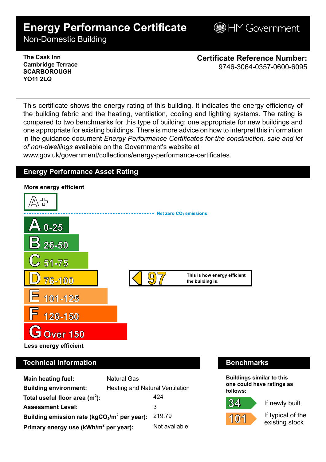# **Energy Performance Certificate**

**BHM Government** 

Non-Domestic Building

### **The Cask Inn Cambridge Terrace SCARBOROUGH YO11 2LQ**

**Certificate Reference Number:** 9746-3064-0357-0600-6095

This certificate shows the energy rating of this building. It indicates the energy efficiency of the building fabric and the heating, ventilation, cooling and lighting systems. The rating is compared to two benchmarks for this type of building: one appropriate for new buildings and one appropriate for existing buildings. There is more advice on how to interpret this information in the guidance document *Energy Performance Certificates for the construction, sale and let of non-dwellings* available on the Government's website at

www.gov.uk/government/collections/energy-performance-certificates.

# **Energy Performance Asset Rating**



# **Technical Information Benchmarks**

| <b>Main heating fuel:</b>                         | <b>Natural Gas</b>                     |               |
|---------------------------------------------------|----------------------------------------|---------------|
| <b>Building environment:</b>                      | <b>Heating and Natural Ventilation</b> |               |
| Total useful floor area $(m2)$ :                  |                                        | 424           |
| <b>Assessment Level:</b>                          |                                        | 3             |
| Building emission rate ( $kgCO2/m2$ per year):    |                                        | 219.79        |
| Primary energy use (kWh/m <sup>2</sup> per year): |                                        | Not available |

**Buildings similar to this one could have ratings as follows:**

If newly built



If typical of the existing stock